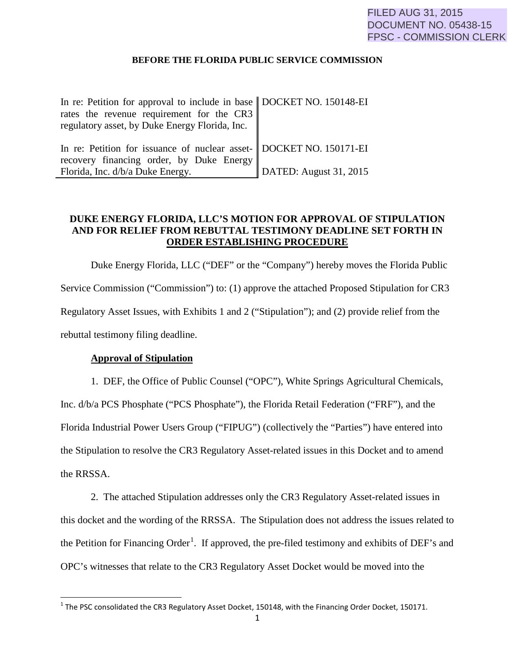#### **BEFORE THE FLORIDA PUBLIC SERVICE COMMISSION**

| In re: Petition for approval to include in base   DOCKET NO. 150148-EI                                          |                                |
|-----------------------------------------------------------------------------------------------------------------|--------------------------------|
| rates the revenue requirement for the CR3<br>regulatory asset, by Duke Energy Florida, Inc.                     |                                |
| In re: Petition for issuance of nuclear asset- DOCKET NO. 150171-EI<br>recovery financing order, by Duke Energy |                                |
| Florida, Inc. d/b/a Duke Energy.                                                                                | $\vert$ DATED: August 31, 2015 |

#### **DUKE ENERGY FLORIDA, LLC'S MOTION FOR APPROVAL OF STIPULATION AND FOR RELIEF FROM REBUTTAL TESTIMONY DEADLINE SET FORTH IN ORDER ESTABLISHING PROCEDURE**

Duke Energy Florida, LLC ("DEF" or the "Company") hereby moves the Florida Public Service Commission ("Commission") to: (1) approve the attached Proposed Stipulation for CR3 Regulatory Asset Issues, with Exhibits 1 and 2 ("Stipulation"); and (2) provide relief from the rebuttal testimony filing deadline.

#### **Approval of Stipulation**

 $\overline{\phantom{a}}$ 

1. DEF, the Office of Public Counsel ("OPC"), White Springs Agricultural Chemicals, Inc. d/b/a PCS Phosphate ("PCS Phosphate"), the Florida Retail Federation ("FRF"), and the Florida Industrial Power Users Group ("FIPUG") (collectively the "Parties") have entered into the Stipulation to resolve the CR3 Regulatory Asset-related issues in this Docket and to amend the RRSSA.

2. The attached Stipulation addresses only the CR3 Regulatory Asset-related issues in this docket and the wording of the RRSSA. The Stipulation does not address the issues related to the Petition for Financing Order<sup>[1](#page-0-0)</sup>. If approved, the pre-filed testimony and exhibits of DEF's and OPC's witnesses that relate to the CR3 Regulatory Asset Docket would be moved into the

<span id="page-0-0"></span><sup>&</sup>lt;sup>1</sup> The PSC consolidated the CR3 Regulatory Asset Docket, 150148, with the Financing Order Docket, 150171.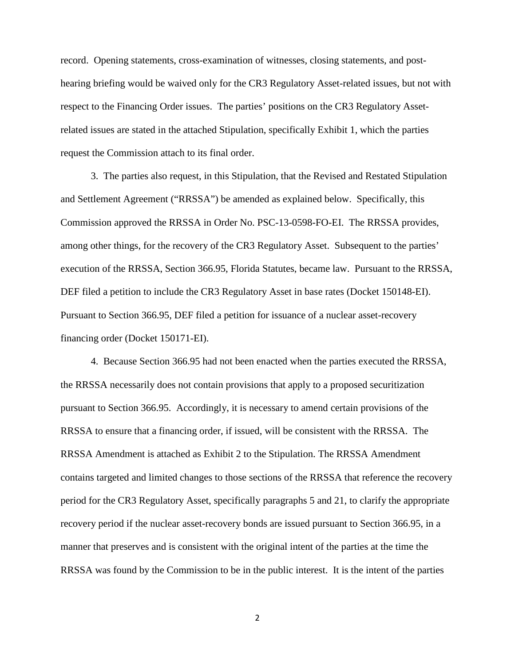record. Opening statements, cross-examination of witnesses, closing statements, and posthearing briefing would be waived only for the CR3 Regulatory Asset-related issues, but not with respect to the Financing Order issues. The parties' positions on the CR3 Regulatory Assetrelated issues are stated in the attached Stipulation, specifically Exhibit 1, which the parties request the Commission attach to its final order.

3. The parties also request, in this Stipulation, that the Revised and Restated Stipulation and Settlement Agreement ("RRSSA") be amended as explained below. Specifically, this Commission approved the RRSSA in Order No. PSC-13-0598-FO-EI. The RRSSA provides, among other things, for the recovery of the CR3 Regulatory Asset. Subsequent to the parties' execution of the RRSSA, Section 366.95, Florida Statutes, became law. Pursuant to the RRSSA, DEF filed a petition to include the CR3 Regulatory Asset in base rates (Docket 150148-EI). Pursuant to Section 366.95, DEF filed a petition for issuance of a nuclear asset-recovery financing order (Docket 150171-EI).

4. Because Section 366.95 had not been enacted when the parties executed the RRSSA, the RRSSA necessarily does not contain provisions that apply to a proposed securitization pursuant to Section 366.95. Accordingly, it is necessary to amend certain provisions of the RRSSA to ensure that a financing order, if issued, will be consistent with the RRSSA. The RRSSA Amendment is attached as Exhibit 2 to the Stipulation. The RRSSA Amendment contains targeted and limited changes to those sections of the RRSSA that reference the recovery period for the CR3 Regulatory Asset, specifically paragraphs 5 and 21, to clarify the appropriate recovery period if the nuclear asset-recovery bonds are issued pursuant to Section 366.95, in a manner that preserves and is consistent with the original intent of the parties at the time the RRSSA was found by the Commission to be in the public interest. It is the intent of the parties

2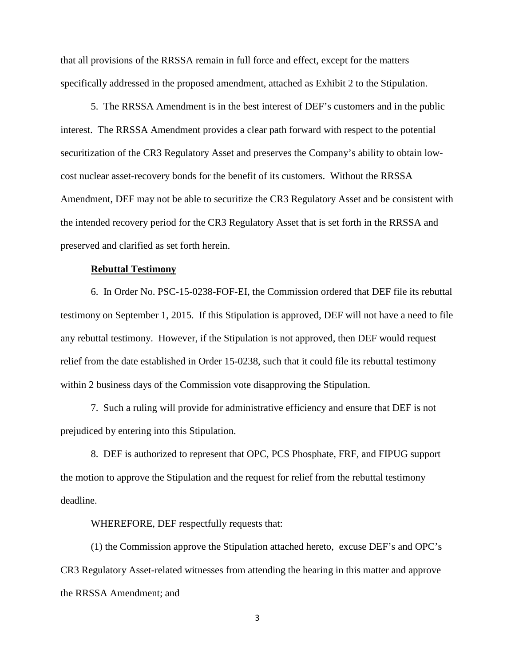that all provisions of the RRSSA remain in full force and effect, except for the matters specifically addressed in the proposed amendment, attached as Exhibit 2 to the Stipulation.

5. The RRSSA Amendment is in the best interest of DEF's customers and in the public interest. The RRSSA Amendment provides a clear path forward with respect to the potential securitization of the CR3 Regulatory Asset and preserves the Company's ability to obtain lowcost nuclear asset-recovery bonds for the benefit of its customers. Without the RRSSA Amendment, DEF may not be able to securitize the CR3 Regulatory Asset and be consistent with the intended recovery period for the CR3 Regulatory Asset that is set forth in the RRSSA and preserved and clarified as set forth herein.

#### **Rebuttal Testimony**

6. In Order No. PSC-15-0238-FOF-EI, the Commission ordered that DEF file its rebuttal testimony on September 1, 2015. If this Stipulation is approved, DEF will not have a need to file any rebuttal testimony. However, if the Stipulation is not approved, then DEF would request relief from the date established in Order 15-0238, such that it could file its rebuttal testimony within 2 business days of the Commission vote disapproving the Stipulation.

7. Such a ruling will provide for administrative efficiency and ensure that DEF is not prejudiced by entering into this Stipulation.

8. DEF is authorized to represent that OPC, PCS Phosphate, FRF, and FIPUG support the motion to approve the Stipulation and the request for relief from the rebuttal testimony deadline.

WHEREFORE, DEF respectfully requests that:

(1) the Commission approve the Stipulation attached hereto, excuse DEF's and OPC's CR3 Regulatory Asset-related witnesses from attending the hearing in this matter and approve the RRSSA Amendment; and

3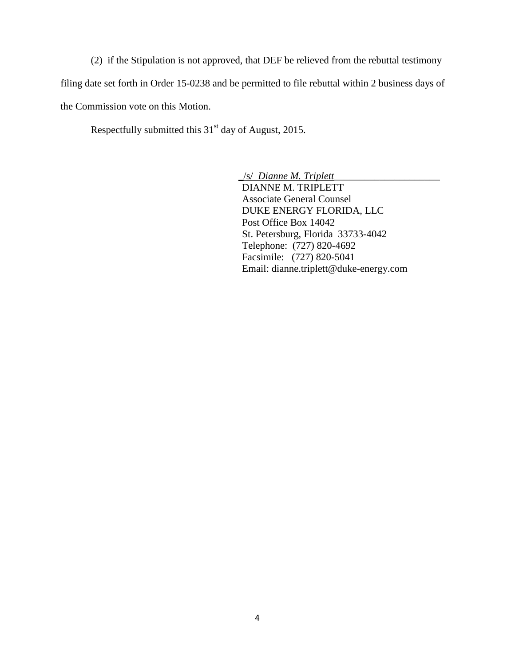(2) if the Stipulation is not approved, that DEF be relieved from the rebuttal testimony filing date set forth in Order 15-0238 and be permitted to file rebuttal within 2 business days of the Commission vote on this Motion.

Respectfully submitted this  $31<sup>st</sup>$  day of August, 2015.

\_/s/ *Dianne M. Triplett\_\_\_\_\_\_\_\_\_\_\_\_\_\_\_\_\_\_\_\_\_* DIANNE M. TRIPLETT Associate General Counsel DUKE ENERGY FLORIDA, LLC Post Office Box 14042 St. Petersburg, Florida 33733-4042 Telephone: (727) 820-4692 Facsimile: (727) 820-5041 Email: dianne.triplett@duke-energy.com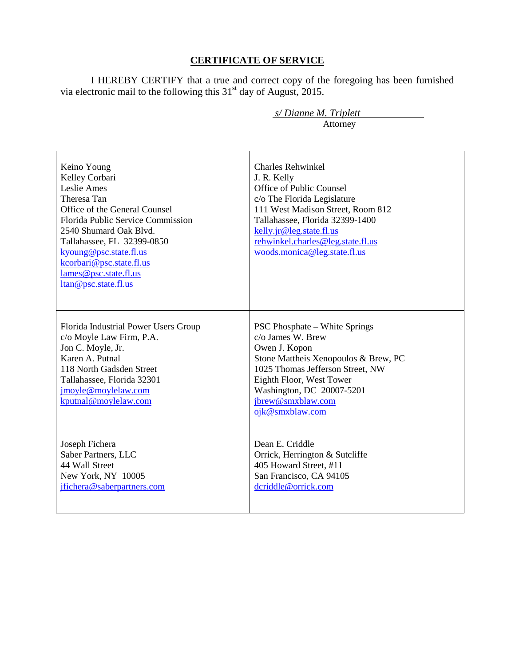### **CERTIFICATE OF SERVICE**

I HEREBY CERTIFY that a true and correct copy of the foregoing has been furnished via electronic mail to the following this  $31<sup>st</sup>$  day of August, 2015.

| Keino Young<br>Kelley Corbari<br>Leslie Ames<br>Theresa Tan<br>Office of the General Counsel<br>Florida Public Service Commission<br>2540 Shumard Oak Blvd.<br>Tallahassee, FL 32399-0850<br>kyoung@psc.state.fl.us<br>kcorbari@psc.state.fl.us<br>lames@psc.state.fl.us<br>ltan@psc.state.fl.us | <b>Charles Rehwinkel</b><br>J. R. Kelly<br>Office of Public Counsel<br>c/o The Florida Legislature<br>111 West Madison Street, Room 812<br>Tallahassee, Florida 32399-1400<br>kelly.jr@leg.state.fl.us<br>rehwinkel.charles@leg.state.fl.us<br>woods.monica@leg.state.fl.us |
|--------------------------------------------------------------------------------------------------------------------------------------------------------------------------------------------------------------------------------------------------------------------------------------------------|-----------------------------------------------------------------------------------------------------------------------------------------------------------------------------------------------------------------------------------------------------------------------------|
| Florida Industrial Power Users Group<br>c/o Moyle Law Firm, P.A.<br>Jon C. Moyle, Jr.<br>Karen A. Putnal<br>118 North Gadsden Street<br>Tallahassee, Florida 32301<br>jmoyle@moylelaw.com<br>kputnal@moylelaw.com                                                                                | <b>PSC Phosphate – White Springs</b><br>c/o James W. Brew<br>Owen J. Kopon<br>Stone Mattheis Xenopoulos & Brew, PC<br>1025 Thomas Jefferson Street, NW<br>Eighth Floor, West Tower<br>Washington, DC 20007-5201<br>jbrew@smxblaw.com<br>ojk@smxblaw.com                     |
| Joseph Fichera<br>Saber Partners, LLC<br>44 Wall Street<br>New York, NY 10005<br>jfichera@saberpartners.com                                                                                                                                                                                      | Dean E. Criddle<br>Orrick, Herrington & Sutcliffe<br>405 Howard Street, #11<br>San Francisco, CA 94105<br>dcriddle@orrick.com                                                                                                                                               |

 *s/ Dianne M. Triplett*  Attorney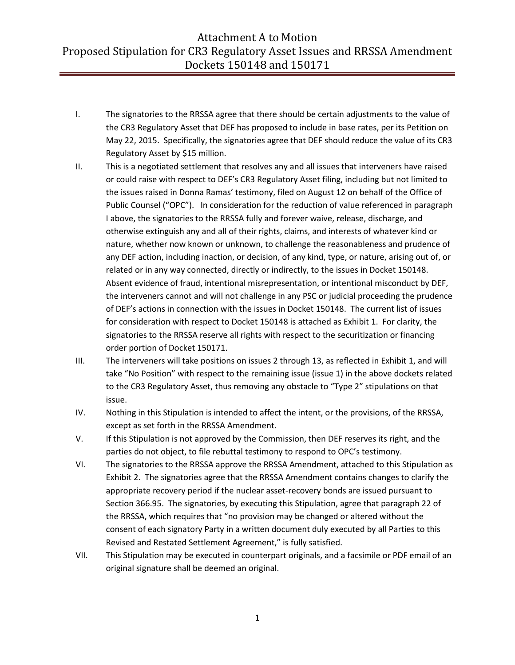- I. The signatories to the RRSSA agree that there should be certain adjustments to the value of the CR3 Regulatory Asset that DEF has proposed to include in base rates, per its Petition on May 22, 2015. Specifically, the signatories agree that DEF should reduce the value of its CR3 Regulatory Asset by \$15 million.
- II. This is a negotiated settlement that resolves any and all issues that interveners have raised or could raise with respect to DEF's CR3 Regulatory Asset filing, including but not limited to the issues raised in Donna Ramas' testimony, filed on August 12 on behalf of the Office of Public Counsel ("OPC"). In consideration for the reduction of value referenced in paragraph I above, the signatories to the RRSSA fully and forever waive, release, discharge, and otherwise extinguish any and all of their rights, claims, and interests of whatever kind or nature, whether now known or unknown, to challenge the reasonableness and prudence of any DEF action, including inaction, or decision, of any kind, type, or nature, arising out of, or related or in any way connected, directly or indirectly, to the issues in Docket 150148. Absent evidence of fraud, intentional misrepresentation, or intentional misconduct by DEF, the interveners cannot and will not challenge in any PSC or judicial proceeding the prudence of DEF's actions in connection with the issues in Docket 150148. The current list of issues for consideration with respect to Docket 150148 is attached as Exhibit 1. For clarity, the signatories to the RRSSA reserve all rights with respect to the securitization or financing order portion of Docket 150171.
- III. The interveners will take positions on issues 2 through 13, as reflected in Exhibit 1, and will take "No Position" with respect to the remaining issue (issue 1) in the above dockets related to the CR3 Regulatory Asset, thus removing any obstacle to "Type 2" stipulations on that issue.
- IV. Nothing in this Stipulation is intended to affect the intent, or the provisions, of the RRSSA, except as set forth in the RRSSA Amendment.
- V. If this Stipulation is not approved by the Commission, then DEF reserves its right, and the parties do not object, to file rebuttal testimony to respond to OPC's testimony.
- VI. The signatories to the RRSSA approve the RRSSA Amendment, attached to this Stipulation as Exhibit 2. The signatories agree that the RRSSA Amendment contains changes to clarify the appropriate recovery period if the nuclear asset-recovery bonds are issued pursuant to Section 366.95. The signatories, by executing this Stipulation, agree that paragraph 22 of the RRSSA, which requires that "no provision may be changed or altered without the consent of each signatory Party in a written document duly executed by all Parties to this Revised and Restated Settlement Agreement," is fully satisfied.
- VII. This Stipulation may be executed in counterpart originals, and a facsimile or PDF email of an original signature shall be deemed an original.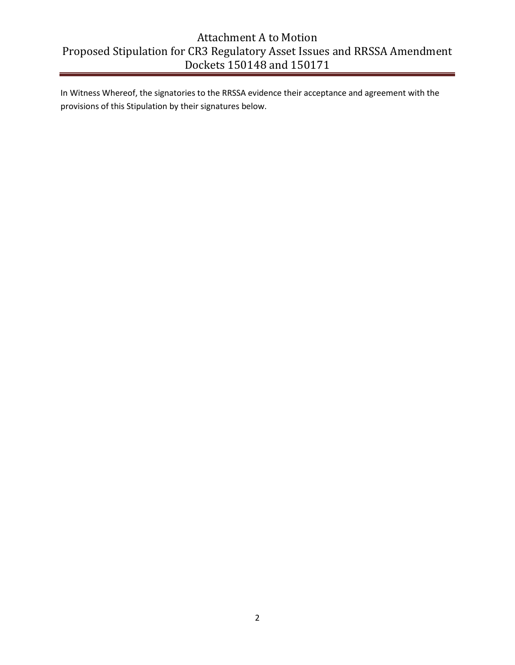In Witness Whereof, the signatories to the RRSSA evidence their acceptance and agreement with the provisions of this Stipulation by their signatures below.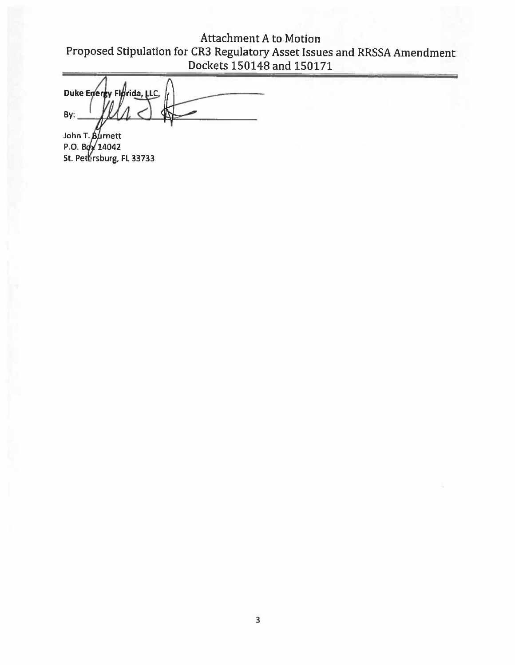Attachment A to Motion Proposed Stipulation for CR3 Regulatory Asset Issues and RRSSA Amendment Dockets 150148 and 150171

Duke Energy Florida, LLC,  $By:$ 

John T. P.O. B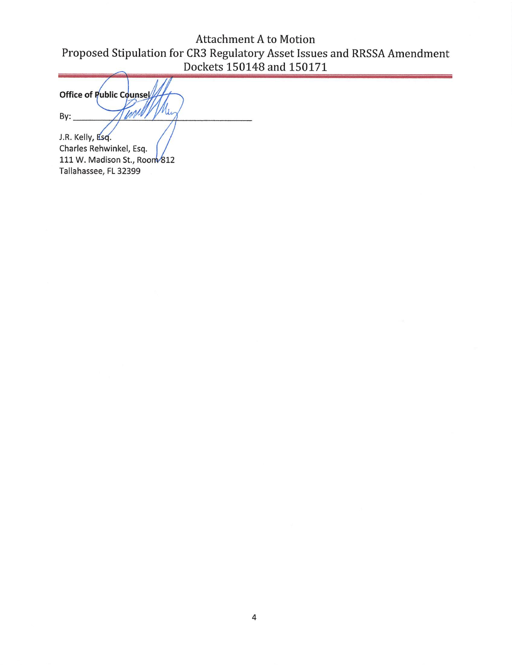Attachment A to Motion Proposed Stipulation for CR3 Regulatory Asset Issues and RRSSA Amendment Dockets 150148 and 150171

Office of Public Counsel Inpli U.  $By:$ J.R. Kelly, Esq.

Charles Rehwinkel, Esq. 111 W. Madison St., Room 812 Tallahassee, FL 32399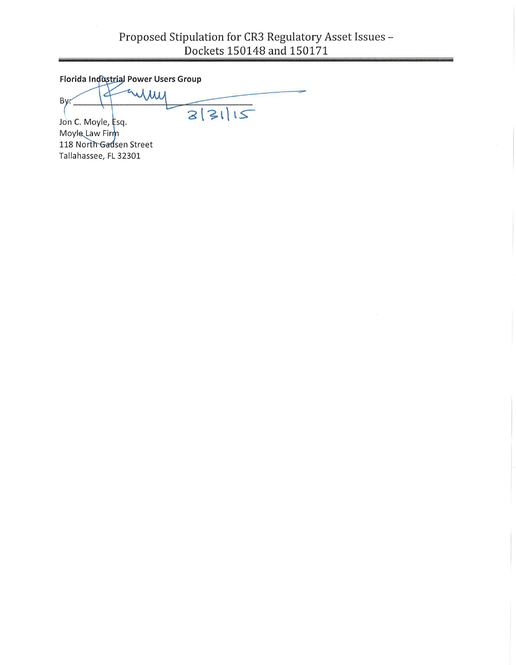Florida Industrial Power Users Group

imi  $By:$  $3|31|12$ 

Jon C. Moyle, Esq. Moyle Law Firm 118 North Gadsen Street Tallahassee, FL 32301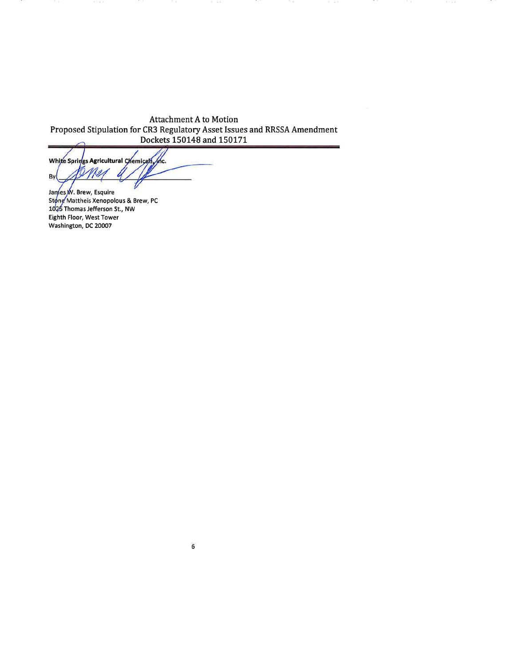the. White Springs Agricultural Chemicals Mer Ø By  $\overline{t}$ 

James W. Brew, Esquire Stong Mattheis Xenopolous & Brew, PC 1025 Thomas Jefferson St., NW Eighth Floor, West Tower Washington, DC 20007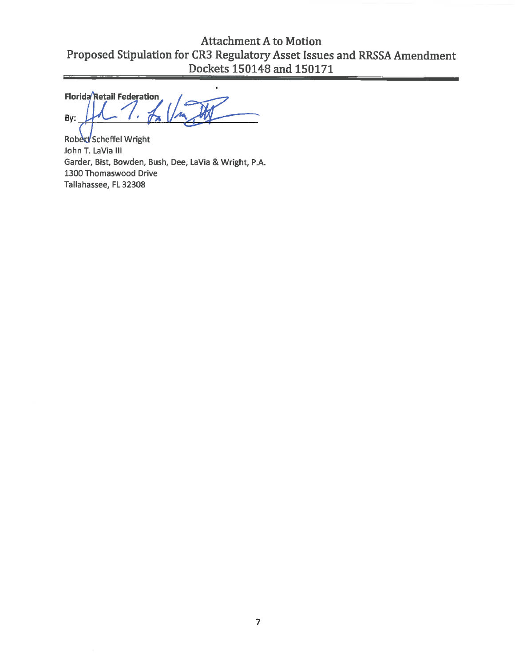Florida Retail Federation By:

Robert Scheffel Wright John T. LaVia Ill Garder, Bist, Bowden, Bush, Dee, LaVia & Wright, P.A. 1300 Thomaswood Drive Tallahassee, FL 32308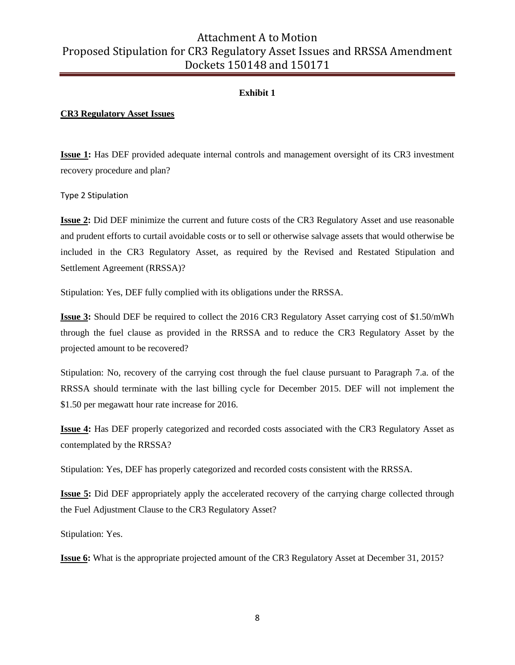#### **Exhibit 1**

#### **CR3 Regulatory Asset Issues**

**Issue 1:** Has DEF provided adequate internal controls and management oversight of its CR3 investment recovery procedure and plan?

Type 2 Stipulation

**Issue 2:** Did DEF minimize the current and future costs of the CR3 Regulatory Asset and use reasonable and prudent efforts to curtail avoidable costs or to sell or otherwise salvage assets that would otherwise be included in the CR3 Regulatory Asset, as required by the Revised and Restated Stipulation and Settlement Agreement (RRSSA)?

Stipulation: Yes, DEF fully complied with its obligations under the RRSSA.

**Issue 3:** Should DEF be required to collect the 2016 CR3 Regulatory Asset carrying cost of \$1.50/mWh through the fuel clause as provided in the RRSSA and to reduce the CR3 Regulatory Asset by the projected amount to be recovered?

Stipulation: No, recovery of the carrying cost through the fuel clause pursuant to Paragraph 7.a. of the RRSSA should terminate with the last billing cycle for December 2015. DEF will not implement the \$1.50 per megawatt hour rate increase for 2016.

**Issue 4:** Has DEF properly categorized and recorded costs associated with the CR3 Regulatory Asset as contemplated by the RRSSA?

Stipulation: Yes, DEF has properly categorized and recorded costs consistent with the RRSSA.

**Issue 5:** Did DEF appropriately apply the accelerated recovery of the carrying charge collected through the Fuel Adjustment Clause to the CR3 Regulatory Asset?

Stipulation: Yes.

**Issue 6:** What is the appropriate projected amount of the CR3 Regulatory Asset at December 31, 2015?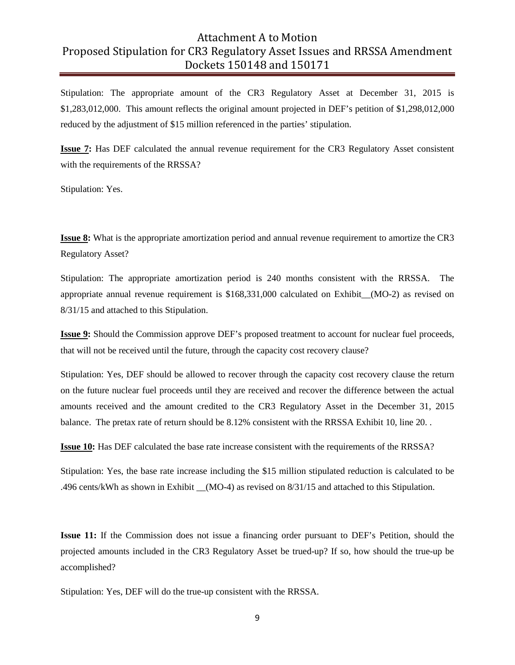Stipulation: The appropriate amount of the CR3 Regulatory Asset at December 31, 2015 is \$1,283,012,000. This amount reflects the original amount projected in DEF's petition of \$1,298,012,000 reduced by the adjustment of \$15 million referenced in the parties' stipulation.

**Issue 7:** Has DEF calculated the annual revenue requirement for the CR3 Regulatory Asset consistent with the requirements of the RRSSA?

Stipulation: Yes.

**Issue 8:** What is the appropriate amortization period and annual revenue requirement to amortize the CR3 Regulatory Asset?

Stipulation: The appropriate amortization period is 240 months consistent with the RRSSA. The appropriate annual revenue requirement is \$168,331,000 calculated on Exhibit\_\_(MO-2) as revised on 8/31/15 and attached to this Stipulation.

**Issue 9:** Should the Commission approve DEF's proposed treatment to account for nuclear fuel proceeds, that will not be received until the future, through the capacity cost recovery clause?

Stipulation: Yes, DEF should be allowed to recover through the capacity cost recovery clause the return on the future nuclear fuel proceeds until they are received and recover the difference between the actual amounts received and the amount credited to the CR3 Regulatory Asset in the December 31, 2015 balance. The pretax rate of return should be 8.12% consistent with the RRSSA Exhibit 10, line 20. .

**Issue 10:** Has DEF calculated the base rate increase consistent with the requirements of the RRSSA?

Stipulation: Yes, the base rate increase including the \$15 million stipulated reduction is calculated to be .496 cents/kWh as shown in Exhibit  $(MO-4)$  as revised on 8/31/15 and attached to this Stipulation.

**Issue 11:** If the Commission does not issue a financing order pursuant to DEF's Petition, should the projected amounts included in the CR3 Regulatory Asset be trued-up? If so, how should the true-up be accomplished?

Stipulation: Yes, DEF will do the true-up consistent with the RRSSA.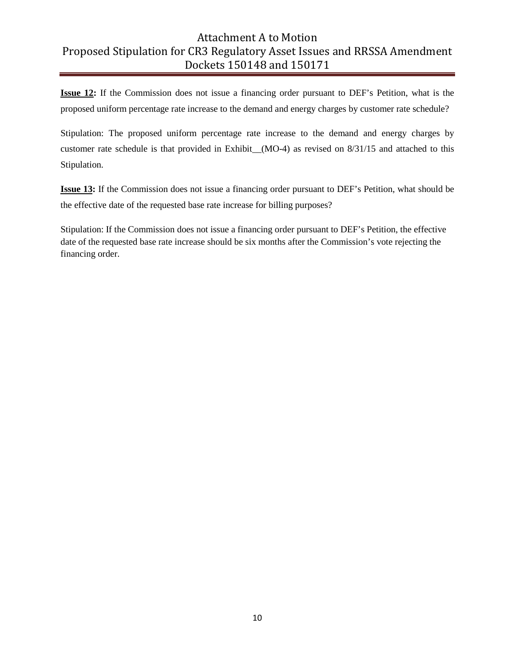**Issue 12:** If the Commission does not issue a financing order pursuant to DEF's Petition, what is the proposed uniform percentage rate increase to the demand and energy charges by customer rate schedule?

Stipulation: The proposed uniform percentage rate increase to the demand and energy charges by customer rate schedule is that provided in Exhibit (MO-4) as revised on 8/31/15 and attached to this Stipulation.

**Issue 13:** If the Commission does not issue a financing order pursuant to DEF's Petition, what should be the effective date of the requested base rate increase for billing purposes?

Stipulation: If the Commission does not issue a financing order pursuant to DEF's Petition, the effective date of the requested base rate increase should be six months after the Commission's vote rejecting the financing order.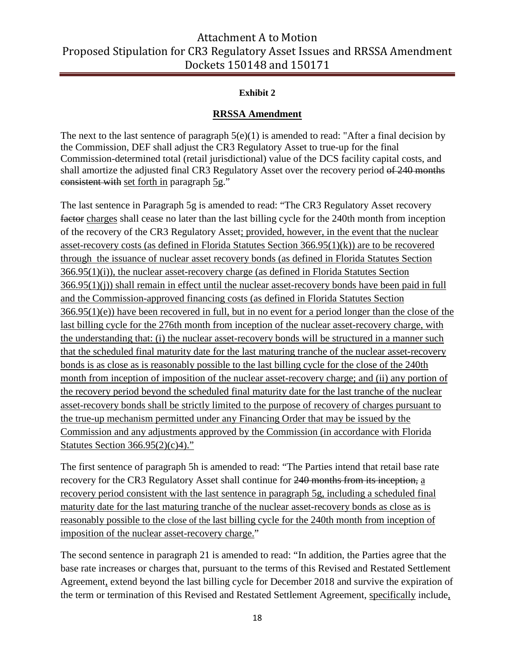#### **Exhibit 2**

#### **RRSSA Amendment**

The next to the last sentence of paragraph  $5(e)(1)$  is amended to read: "After a final decision by the Commission, DEF shall adjust the CR3 Regulatory Asset to true-up for the final Commission-determined total (retail jurisdictional) value of the DCS facility capital costs, and shall amortize the adjusted final CR3 Regulatory Asset over the recovery period of 240 months consistent with set forth in paragraph 5g."

The last sentence in Paragraph 5g is amended to read: "The CR3 Regulatory Asset recovery factor charges shall cease no later than the last billing cycle for the 240th month from inception of the recovery of the CR3 Regulatory Asset; provided, however, in the event that the nuclear asset-recovery costs (as defined in Florida Statutes Section 366.95(1)(k)) are to be recovered through the issuance of nuclear asset recovery bonds (as defined in Florida Statutes Section 366.95(1)(i)), the nuclear asset-recovery charge (as defined in Florida Statutes Section 366.95(1)(j)) shall remain in effect until the nuclear asset-recovery bonds have been paid in full and the Commission-approved financing costs (as defined in Florida Statutes Section 366.95(1)(e)) have been recovered in full, but in no event for a period longer than the close of the last billing cycle for the 276th month from inception of the nuclear asset-recovery charge, with the understanding that: (i) the nuclear asset-recovery bonds will be structured in a manner such that the scheduled final maturity date for the last maturing tranche of the nuclear asset-recovery bonds is as close as is reasonably possible to the last billing cycle for the close of the 240th month from inception of imposition of the nuclear asset-recovery charge; and (ii) any portion of the recovery period beyond the scheduled final maturity date for the last tranche of the nuclear asset-recovery bonds shall be strictly limited to the purpose of recovery of charges pursuant to the true-up mechanism permitted under any Financing Order that may be issued by the Commission and any adjustments approved by the Commission (in accordance with Florida Statutes Section 366.95(2)(c)4)."

The first sentence of paragraph 5h is amended to read: "The Parties intend that retail base rate recovery for the CR3 Regulatory Asset shall continue for 240 months from its inception, a recovery period consistent with the last sentence in paragraph 5g, including a scheduled final maturity date for the last maturing tranche of the nuclear asset-recovery bonds as close as is reasonably possible to the close of the last billing cycle for the 240th month from inception of imposition of the nuclear asset-recovery charge."

The second sentence in paragraph 21 is amended to read: "In addition, the Parties agree that the base rate increases or charges that, pursuant to the terms of this Revised and Restated Settlement Agreement, extend beyond the last billing cycle for December 2018 and survive the expiration of the term or termination of this Revised and Restated Settlement Agreement, specifically include,